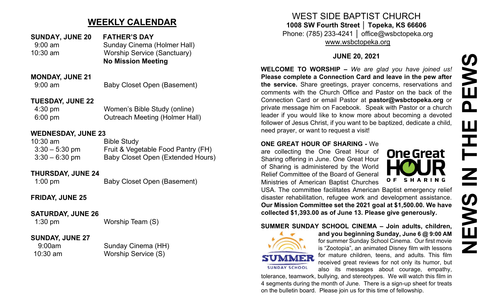# **WEEKLY CALENDAR**

| <b>SUNDAY, JUNE 20</b> | <b>FATHER'S DAY</b>                |
|------------------------|------------------------------------|
| $9:00 \text{ am}$      | <b>Sunday Cinema (Holmer Hall)</b> |
| $10:30$ am             | <b>Worship Service (Sanctuary)</b> |
|                        | <b>No Mission Meeting</b>          |

## **MONDAY, JUNE 21**

9:00 am Baby Closet Open (Basement)

## **TUESDAY, JUNE 22**

4:30 pm Women's Bible Study (online) 6:00 pm Outreach Meeting (Holmer Hall)

## **WEDNESDAY, JUNE 23**

| $10:30$ am       | <b>Bible Study</b>                 |
|------------------|------------------------------------|
| $3:30 - 5:30$ pm | Fruit & Vegetable Food Pantry (FH) |
| $3:30 - 6:30$ pm | Baby Closet Open (Extended Hours)  |

## **THURSDAY, JUNE 24**

1:00 pm Baby Closet Open (Basement)

## **FRIDAY, JUNE 25**

## **SATURDAY, JUNE 26**

## 1:30 pm Worship Team (S)

## **SUNDAY, JUNE 27**

9:00am Sunday Cinema (HH) 10:30 am Worship Service (S)

# WEST SIDE BAPTIST CHURCH **1008 SW Fourth Street │ Topeka, KS 66606**

Phone: (785) 233-4241 │ office@wsbctopeka.org [www.wsbctopeka.org](http://www.wsbctopeka.org/)

## **JUNE 20, 2021**

**WELCOME TO WORSHIP –** *We are glad you have joined us!* **Please complete a Connection Card and leave in the pew after the service.** Share greetings, prayer concerns, reservations and comments with the Church Office and Pastor on the back of the Connection Card or email Pastor at **pastor@wsbctopeka.org** or private message him on Facebook. [S](https://www.facebook.com/ivangreuter.)peak with Pastor or a church leader if you would like to know more about becoming a devoted follower of Jesus Christ, if you want to be baptized, dedicate a child, need prayer, or want to request a visit!

## **ONE GREAT HOUR OF SHARING -** We

are collecting the One Great Hour of Sharing offering in June. One Great Hour of Sharing is administered by the World Relief Committee of the Board of General Ministries of American Baptist Churches



USA. The committee facilitates American Baptist emergency relief disaster rehabilitation, refugee work and development assistance. **Our Mission Committee set the 2021 goal at \$1,500.00. We have collected \$1,393.00 as of June 13. Please give generously.** 

## **SUMMER SUNDAY SCHOOL CINEMA – Join adults, children,**



**and you beginning Sunday, June 6 @ 9:00 AM** for summer Sunday School Cinema. Our first movie is "Zootopia", an animated Disney film with lessons for mature children, teens, and adults. This film received great reviews for not only its humor, but also its messages about courage, empathy,

tolerance, teamwork, bullying, and stereotypes. We will watch this film in 4 segments during the month of June. There is a sign-up sheet for treats on the bulletin board. Please join us for this time of fellowship.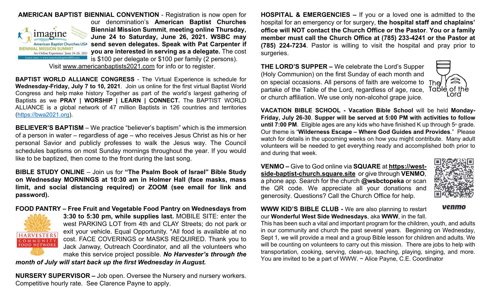

**AMERICAN BAPTIST BIENNIAL CONVENTION** - Registration is now open for our denomination's **American Baptist Churches Biennial Mission Summit**, **meeting online Thursday, June 24 to Saturday, June 26, 2021. WSBC may send seven delegates. Speak with Pat Carpenter if you are interested in serving as a delegate.** The cost is \$100 per delegate or \$100 per family (2 persons).

Visit [www.americanbaptists2021.com](http://www.americanbaptists2021.com/) for info or to register.

**BAPTIST WORLD ALLIANCE CONGRESS** - The Virtual Experience is schedule for **Wednesday-Friday, July 7 to 10, 2021**. Join us online for the first virtual Baptist World Congress and help make history Together as part of the world's largest gathering of Baptists as we **PRAY | WORSHIP | LEARN | CONNECT.** The BAPTIST WORLD ALLIANCE is a global network of 47 million Baptists in 126 countries and territories ([https://bwa2021.org\)](https://bwa2021.org/).

**BELIEVER'S BAPTISM** – We practice "believer's baptism" which is the immersion of a person in water – regardless of age – who receives Jesus Christ as his or her personal Savior and publicly professes to walk the Jesus way. The Council schedules baptisms on most Sunday mornings throughout the year. If you would like to be baptized, then come to the front during the last song.

**BIBLE STUDY ONLINE** – Join us for **"The Psalm Book of Israel" Bible Study on Wednesday MORNINGS at 10:30 am in Holmer Hall (face masks, mass limit, and social distancing required) or ZOOM (see email for link and password).** 

### **FOOD PANTRY – Free Fruit and Vegetable Food Pantry on Wednesdays from**



**3:30 to 5:30 pm, while supplies last.** MOBILE SITE: enter the west PARKING LOT from 4th and CLAY Streets; do not park or exit your vehicle. Equal Opportunity. \*All food is available at no cost. FACE COVERINGS or MASKS REQUIRED. Thank you to Jack Janway, Outreach Coordinator, and all the volunteers who make this service project possible. *No Harvester's through the* 

*month of July will start back up the first Wednesday in August.*

**NURSERY SUPERVISOR –** Job open. Oversee the Nursery and nursery workers. Competitive hourly rate. See Clarence Payne to apply.

**HOSPITAL & EMERGENCIES –** If you or a loved one is admitted to the hospital for an emergency or for surgery, **the hospital staff and chaplains' office will NOT contact the Church Office or the Pastor**. **You or a family member must call the Church Office at (785) 233-4241 or the Pastor at (785) 224-7234**. Pastor is willing to visit the hospital and pray prior to surgeries.

**THE LORD'S SUPPER –** We celebrate the Lord's Supper (Holy Communion) on the first Sunday of each month and on special occasions. All persons of faith are welcome to The partake of the Table of the Lord, regardless of age, race, or church affiliation. We use only non-alcohol grape juice.



**VACATION BIBLE SCHOOL - Vacation Bible School** will be held **Monday-Friday, July 26-30**. **Supper will be served at 5:00 PM with activities to follow until 7:00 PM.** Eligible ages are any kids who have finished K up through  $5<sup>th</sup>$  grade. Our theme is "**Wilderness Escape – Where God Guides and Provides**." Please watch for details in the upcoming weeks on how you might contribute. Many adult volunteers will be needed to get everything ready and accomplished both prior to and during that week.

**VENMO –** Give to God online via **SQUARE** at **[https://west](https://west-side-baptist-church.square.site/)side-baptist-[church.square.site](https://west-side-baptist-church.square.site/)** or give through **VENMO**, a phone app. Search for the church **@wsbctopeka** or scan the QR code. We appreciate all your donations and generosity. Questions? Call the Church Office for help.



venmo

**WWW KID'S BIBLE CLUB -** We are also planning to restart our **Wonderful West Side Wednesdays**, aka **WWW**, in the fall.

This has been such a vital and important program for the children, youth, and adults in our community and church the past several years. Beginning on Wednesday, Sept 1, we will provide a meal and a group Bible lesson for children and adults. We will be counting on volunteers to carry out this mission. There are jobs to help with transportation, cooking, serving, clean-up, teaching, playing, singing, and more. You are invited to be a part of WWW. ~ Alice Payne, C.E. Coordinator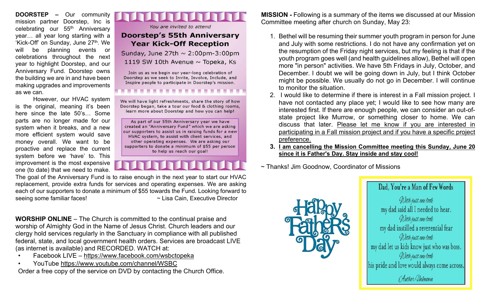**DOORSTEP –** Our community mission partner Doorstep, Inc is celebrating our 55<sup>th</sup> Anniversary year… all year long starting with a 'Kick-Off' on Sunday, June 27<sup>th</sup>. We will be planning events or celebrations throughout the next year to highlight Doorstep, and our Anniversary Fund. Doorstep owns the building we are in and have been making upgrades and improvements as we can.

However, our HVAC system is the original, meaning it's been here since the late 50's… Some parts are no longer made for our system when it breaks, and a new more efficient system would save money overall. We want to be proactive and replace the current system before we 'have' to. This improvement is the most expensive one (to date) that we need to make.



You are invited to attend

## **Doorstep's 55th Anniversary Year Kick-Off Reception**

Sunday, June 27th  $\sim$  2:00pm-3:00pm 1119 SW 10th Avenue  $\sim$  Topeka, Ks

Join us as we begin our year-long celebration of Doorstep as we seek to Invite, Involve, Include, and Inspire people to participate in Doorstep's mission.

We will have light refreshments, share the story of how Doorstep began, take a tour our food & clothing rooms, learn more about Doorstep and how you can help!

As part of our 55th Anniversary year we have created an "Anniversary Fund" which we are asking our supporters to assist us in raising funds for a new HVAC system, to assist with client services, and other operating expenses. We are asking our supporters to donate a minimum of \$55 per person to help us reach our goal!

The goal of the Anniversary Fund is to raise enough in the next year to start our HVAC replacement, provide extra funds for services and operating expenses. We are asking each of our supporters to donate a minimum of \$55 towards the Fund. Looking forward to seeing some familiar faces!  $\sim$  Lisa Cain, Executive Director

**WORSHIP ONLINE** – The Church is committed to the continual praise and worship of Almighty God in the Name of Jesus Christ. Church leaders and our clergy hold services regularly in the Sanctuary in compliance with all published federal, state, and local government health orders. Services are broadcast LIVE (as internet is available) and RECORDED. WATCH at:

- Facebook LIVE h[ttps://www.facebook.com/wsbctopeka](https://www.facebook.com/wsbctopeka)
- YouTube<https://www.youtube.com/channel/WSBC>

Order a free copy of the service on DVD by contacting the Church Office.

**MISSION -** Following is a summary of the items we discussed at our Mission Committee meeting after church on Sunday, May 23:

- 1. Bethel will be resuming their summer youth program in person for June and July with some restrictions. I do not have any confirmation yet on the resumption of the Friday night services, but my feeling is that if the youth program goes well (and health guidelines allow), Bethel will open more "in person" activities. We have 5th Fridays in July, October, and December. I doubt we will be going down in July, but I think October might be possible. We usually do not go in December. I will continue to monitor the situation.
- 2. I would like to determine if there is interest in a Fall mission project. I have not contacted any place yet; I would like to see how many are interested first. If there are enough people, we can consider an out-ofstate project like Murrow, or something closer to home. We can discuss that later. Please let me know if you are interested in participating in a Fall mission project and if you have a specific project preference.
- **3. I am cancelling the Mission Committee meeting this Sunday, June 20 since it is Father's Day. Stay inside and stay cool!**
- ~ Thanks! Jim Goodnow, Coordinator of Missions